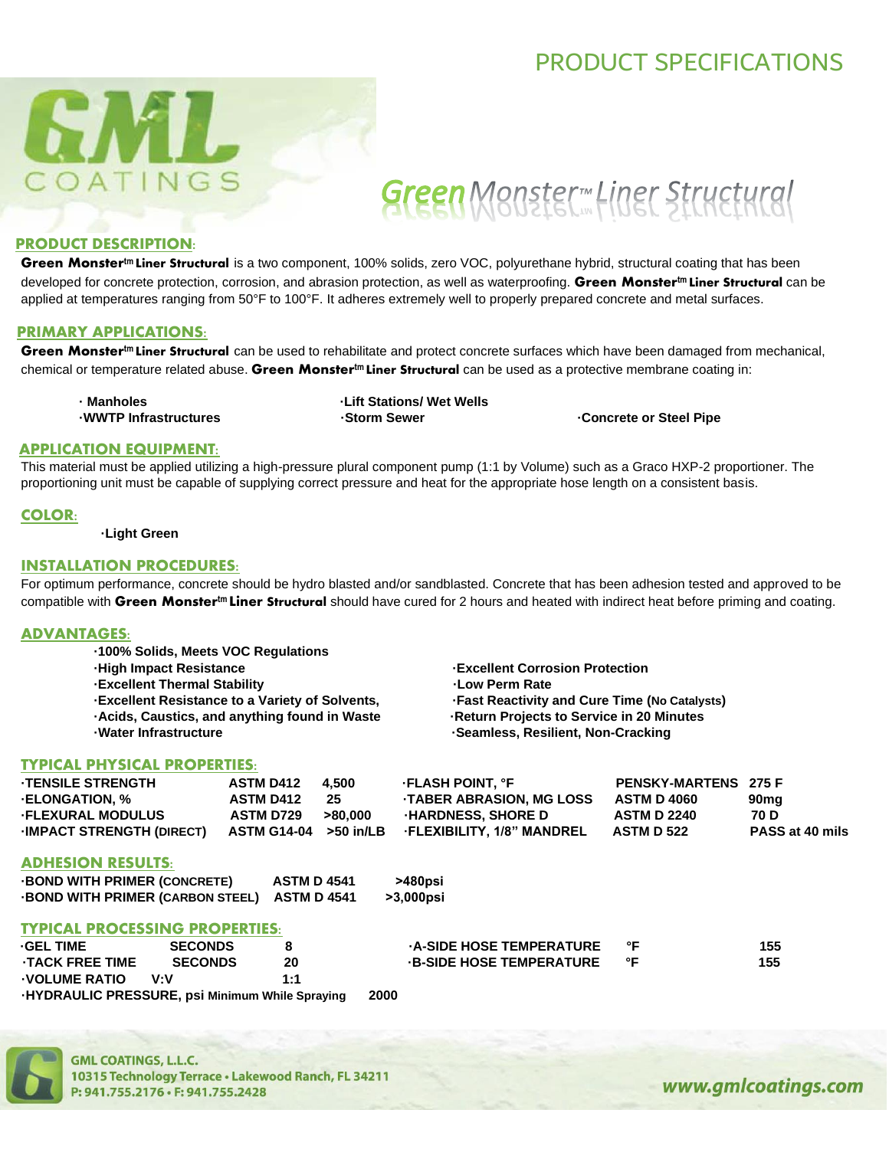## PRODUCT SPECIFICATIONS



# Green Monster Meiner Structural

### PRODUCT DESCRIPTION:

**Green Monstertm Liner Structural** is a two component, 100% solids, zero VOC, polyurethane hybrid, structural coating that has been developed for concrete protection, corrosion, and abrasion protection, as well as waterproofing. **Green Monstertm Liner Structural** can be applied at temperatures ranging from 50°F to 100°F. It adheres extremely well to properly prepared concrete and metal surfaces.

### PRIMARY APPLICATIONS:

**Green Monstertm Liner Structural** can be used to rehabilitate and protect concrete surfaces which have been damaged from mechanical, chemical or temperature related abuse. **Green Monstertm Liner Structural** can be used as a protective membrane coating in:

**· Manholes ·Lift Stations/ Wet Wells ·WWTP Infrastructures ·Storm Sewer ·Concrete or Steel Pipe**

### APPLICATION EQUIPMENT:

This material must be applied utilizing a high-pressure plural component pump (1:1 by Volume) such as a Graco HXP-2 proportioner. The proportioning unit must be capable of supplying correct pressure and heat for the appropriate hose length on a consistent basis.

### COLOR:

### **·Light Green**

### INSTALLATION PROCEDURES:

For optimum performance, concrete should be hydro blasted and/or sandblasted. Concrete that has been adhesion tested and approved to be compatible with **Green Monstertm Liner Structural** should have cured for 2 hours and heated with indirect heat before priming and coating.

### ADVANTAGES:

| -100% Solids, Meets VOC Regulations                   |                                                     |
|-------------------------------------------------------|-----------------------------------------------------|
| <b>High Impact Resistance</b>                         | <b>Excellent Corrosion Protection</b>               |
| <b>Excellent Thermal Stability</b>                    | -Low Perm Rate                                      |
| <b>Excellent Resistance to a Variety of Solvents,</b> | <b>Fast Reactivity and Cure Time (No Catalysts)</b> |
| Acids, Caustics, and anything found in Waste          | -Return Projects to Service in 20 Minutes           |
| -Water Infrastructure                                 | -Seamless, Resilient, Non-Cracking                  |

### TYPICAL PHYSICAL PROPERTIES:

| <b>TENSILE STRENGTH</b>         | <b>ASTM D412</b>      | 4.500   | <b>FLASH POINT. °F</b>           | <b>PENSKY-MARTENS 275 F</b> |                  |
|---------------------------------|-----------------------|---------|----------------------------------|-----------------------------|------------------|
| <b>ELONGATION, %</b>            | <b>ASTM D412</b>      | 25      | TABER ABRASION, MG LOSS          | ASTM D 4060                 | 90 <sub>mq</sub> |
| <b>FLEXURAL MODULUS</b>         | <b>ASTM D729</b>      | >80.000 | <b>HARDNESS, SHORE D</b>         | <b>ASTM D 2240</b>          | 70 D             |
| <b>IMPACT STRENGTH (DIRECT)</b> | ASTM G14-04 >50 in/LB |         | <b>FLEXIBILITY, 1/8" MANDREL</b> | <b>ASTM D 522</b>           | PASS at 40 mils  |
|                                 |                       |         |                                  |                             |                  |

### ADHESION RESULTS:

| <b>BOND WITH PRIMER (CONCRETE)</b>           | <b>ASTM D 4541</b> | >480psi   |
|----------------------------------------------|--------------------|-----------|
| -BOND WITH PRIMER (CARBON STEEL) ASTM D 4541 |                    | >3,000psi |

### TYPICAL PROCESSING PROPERTIES:

| <b>GEL TIME</b>                                       | <b>SECONDS</b> |     | <b>A-SIDE HOSE TEMPERATURE</b> |    | 155 |
|-------------------------------------------------------|----------------|-----|--------------------------------|----|-----|
| <b>TACK FREE TIME</b>                                 | <b>SECONDS</b> | 20  | <b>B-SIDE HOSE TEMPERATURE</b> | °F | 155 |
| <b>VOLUME RATIO</b>                                   | v∙v            | 1:1 |                                |    |     |
| <b>HYDRAULIC PRESSURE, psi Minimum While Spraying</b> |                |     | 2000                           |    |     |



**GML COATINGS, L.L.C.** 10315 Technology Terrace . Lakewood Ranch, FL 34211 P: 941.755.2176 · F: 941.755.2428